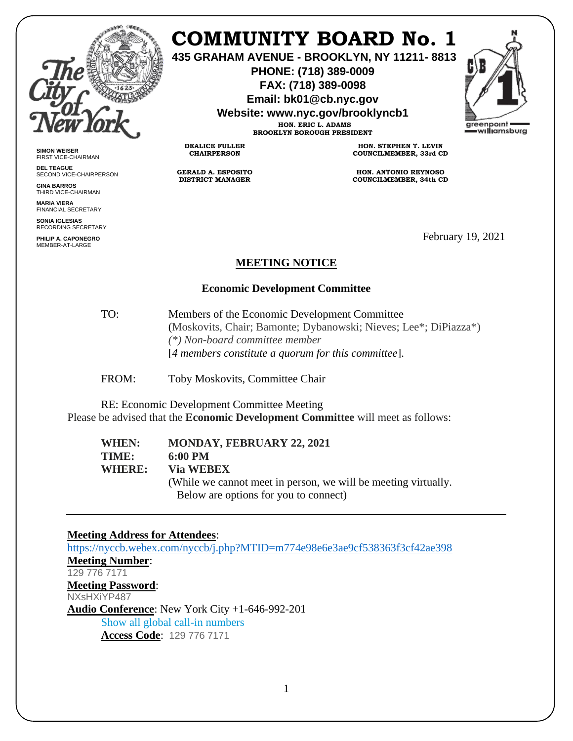

## **COMMUNITY BOARD No. 1**

**435 GRAHAM AVENUE - BROOKLYN, NY 11211- 8813**

**PHONE: (718) 389-0009 FAX: (718) 389-0098**

**Email: bk01@cb.nyc.gov**

**Website: www.nyc.gov/brooklyncb1**

**HON. ERIC L. ADAMS BROOKLYN BOROUGH PRESIDENT**



**SIMON WEISER** FIRST VICE-CHAIRMAN

**DEL TEAGUE** SECOND VICE-CHAIRPERSON

**GINA BARROS** THIRD VICE-CHAIRMAN

**MARIA VIERA** FINANCIAL SECRETARY

**SONIA IGLESIAS** RECORDING SECRETARY

**PHILIP A. CAPONEGRO** MEMBER-AT-LARGE

**HON. STEPHEN T. LEVIN COUNCILMEMBER, 33rd CD**

**HON. ANTONIO REYNOSO COUNCILMEMBER, 34th CD**

February 19, 2021

## **MEETING NOTICE**

## **Economic Development Committee**

TO: Members of the Economic Development Committee (Moskovits, Chair; Bamonte; Dybanowski; Nieves; Lee\*; DiPiazza\*) *(\*) Non-board committee member* [*4 members constitute a quorum for this committee*].

FROM: Toby Moskovits, Committee Chair

**DEALICE FULLER CHAIRPERSON**

**GERALD A. ESPOSITO DISTRICT MANAGER**

RE: Economic Development Committee Meeting Please be advised that the **Economic Development Committee** will meet as follows:

**WHEN: MONDAY, FEBRUARY 22, 2021 TIME: 6:00 PM WHERE: Via WEBEX**  (While we cannot meet in person, we will be meeting virtually. Below are options for you to connect)

**Meeting Address for Attendees**:

<https://nyccb.webex.com/nyccb/j.php?MTID=m774e98e6e3ae9cf538363f3cf42ae398> **Meeting Number**: 129 776 7171 **Meeting Password**: NXsHXiYP487 **Audio Conference**: New York City +1-646-992-201 Show all global call-in numbers **Access Code**: 129 776 7171